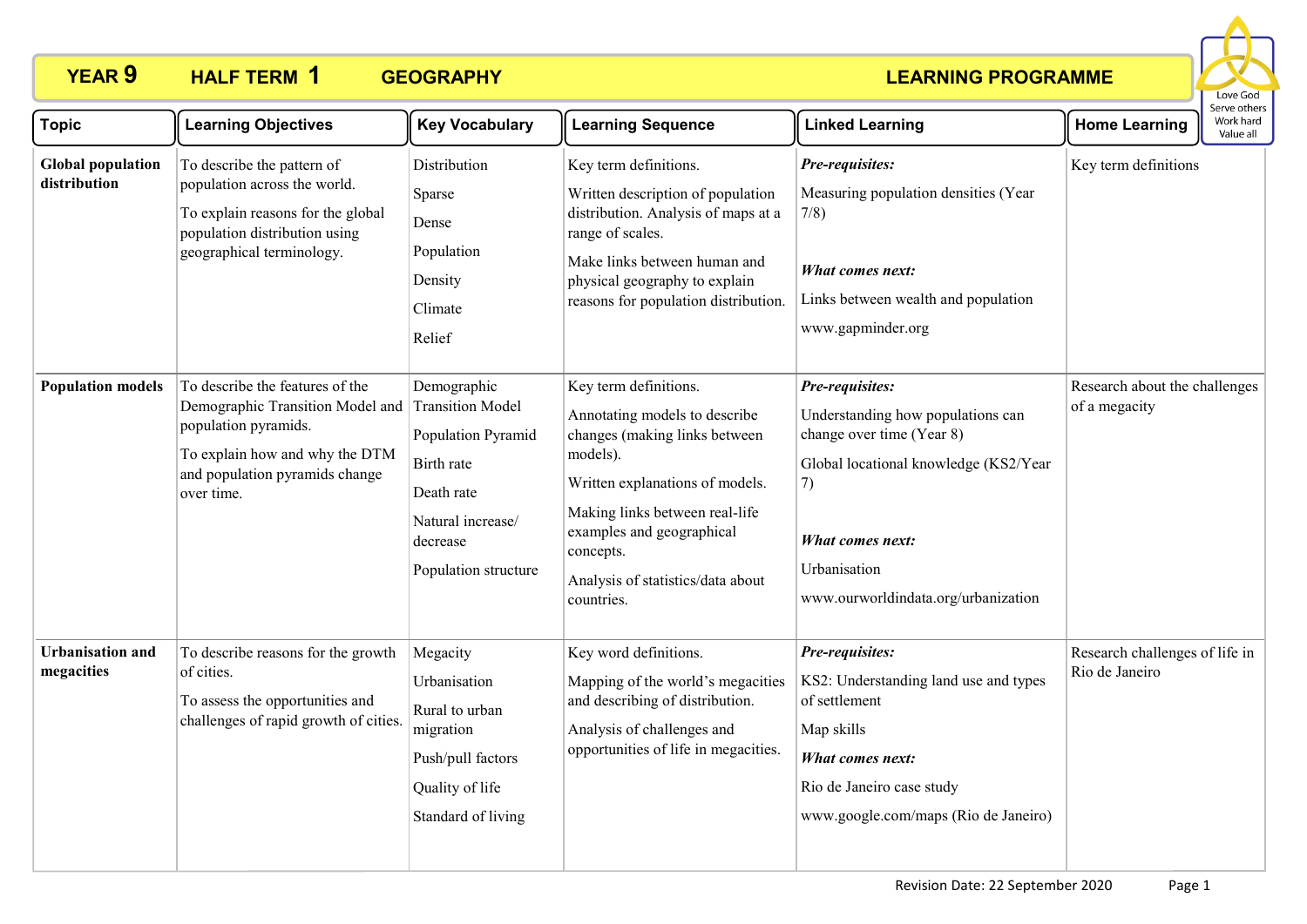

| <b>Topic</b>                             | <b>Learning Objectives</b>                                                                                                                                                                     | <b>Key Vocabulary</b>                                                                                                  | <b>Learning Sequence</b>                                                                                                                                                                                                                                              | <b>Linked Learning</b>                                                                                                                                                                                      | <b>Home Learning</b>                             | serve other:<br>Work hard<br>Value all |
|------------------------------------------|------------------------------------------------------------------------------------------------------------------------------------------------------------------------------------------------|------------------------------------------------------------------------------------------------------------------------|-----------------------------------------------------------------------------------------------------------------------------------------------------------------------------------------------------------------------------------------------------------------------|-------------------------------------------------------------------------------------------------------------------------------------------------------------------------------------------------------------|--------------------------------------------------|----------------------------------------|
| <b>Global population</b><br>distribution | To describe the pattern of<br>population across the world.<br>To explain reasons for the global<br>population distribution using<br>geographical terminology.                                  | Distribution<br>Sparse<br>Dense<br>Population<br>Density<br>Climate<br>Relief                                          | Key term definitions.<br>Written description of population<br>distribution. Analysis of maps at a<br>range of scales.<br>Make links between human and<br>physical geography to explain<br>reasons for population distribution.                                        | Pre-requisites:<br>Measuring population densities (Year<br>7/8)<br>What comes next:<br>Links between wealth and population<br>www.gapminder.org                                                             | Key term definitions                             |                                        |
| <b>Population models</b>                 | To describe the features of the<br>Demographic Transition Model and Transition Model<br>population pyramids.<br>To explain how and why the DTM<br>and population pyramids change<br>over time. | Demographic<br>Population Pyramid<br>Birth rate<br>Death rate<br>Natural increase/<br>decrease<br>Population structure | Key term definitions.<br>Annotating models to describe<br>changes (making links between<br>models).<br>Written explanations of models.<br>Making links between real-life<br>examples and geographical<br>concepts.<br>Analysis of statistics/data about<br>countries. | Pre-requisites:<br>Understanding how populations can<br>change over time (Year 8)<br>Global locational knowledge (KS2/Year<br>7)<br>What comes next:<br>Urbanisation<br>www.ourworldindata.org/urbanization | Research about the challenges<br>of a megacity   |                                        |
| <b>Urbanisation and</b><br>megacities    | To describe reasons for the growth<br>of cities.<br>To assess the opportunities and<br>challenges of rapid growth of cities.                                                                   | Megacity<br>Urbanisation<br>Rural to urban<br>migration<br>Push/pull factors<br>Quality of life<br>Standard of living  | Key word definitions.<br>Mapping of the world's megacities<br>and describing of distribution.<br>Analysis of challenges and<br>opportunities of life in megacities.                                                                                                   | Pre-requisites:<br>KS2: Understanding land use and types<br>of settlement<br>Map skills<br>What comes next:<br>Rio de Janeiro case study<br>www.google.com/maps (Rio de Janeiro)                            | Research challenges of life in<br>Rio de Janeiro |                                        |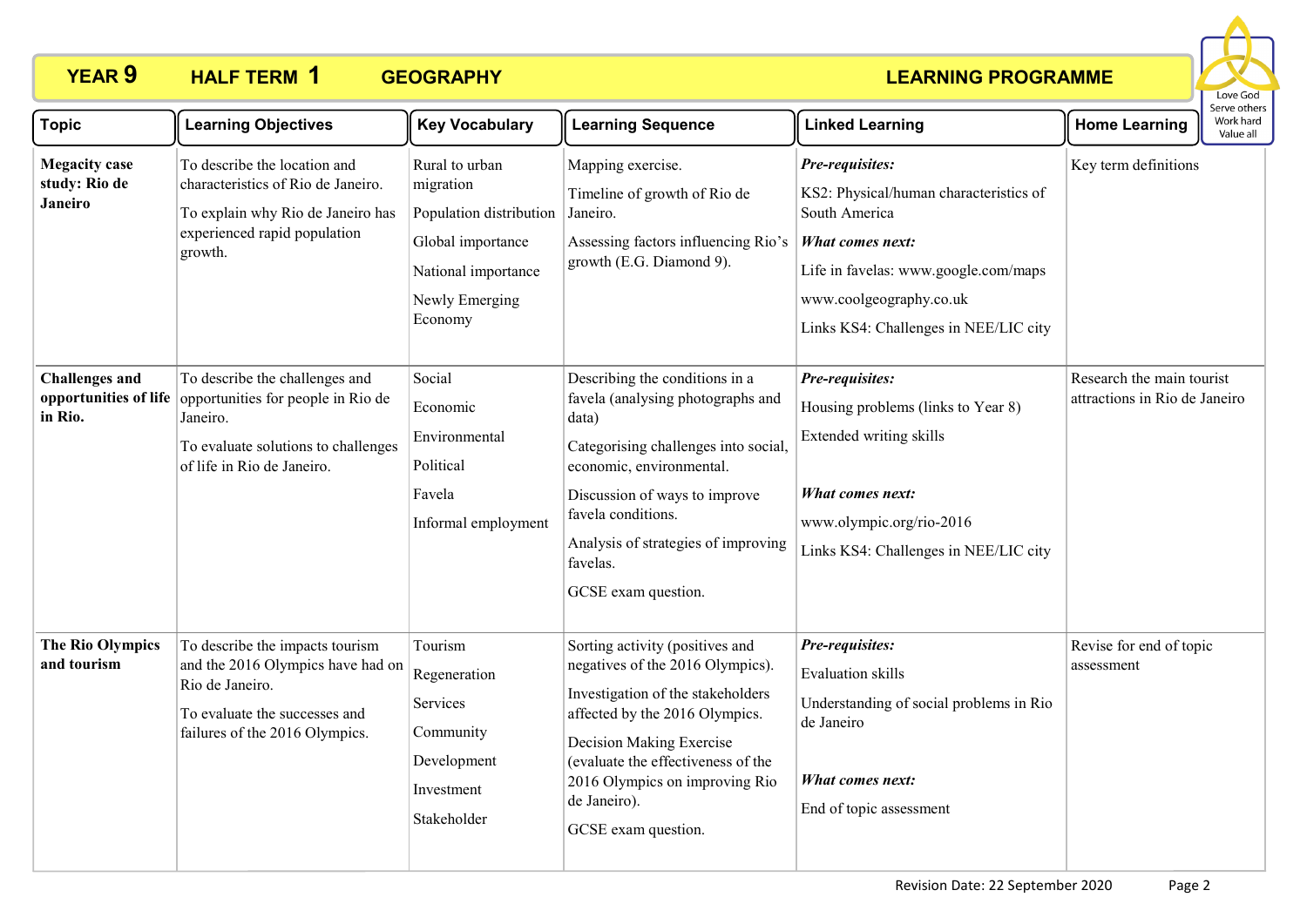

| <b>Topic</b>                                            | <b>Learning Objectives</b>                                                                                                                                                  | <b>Key Vocabulary</b>                                                                                                           | <b>Learning Sequence</b>                                                                                                                                                                                                                                                              | <b>Linked Learning</b>                                                                                                                                                                                     | <b>Home Learning</b>                                       | Serve others<br>Work hard<br>Value all |
|---------------------------------------------------------|-----------------------------------------------------------------------------------------------------------------------------------------------------------------------------|---------------------------------------------------------------------------------------------------------------------------------|---------------------------------------------------------------------------------------------------------------------------------------------------------------------------------------------------------------------------------------------------------------------------------------|------------------------------------------------------------------------------------------------------------------------------------------------------------------------------------------------------------|------------------------------------------------------------|----------------------------------------|
| <b>Megacity</b> case<br>study: Rio de<br><b>Janeiro</b> | To describe the location and<br>characteristics of Rio de Janeiro.<br>To explain why Rio de Janeiro has<br>experienced rapid population<br>growth.                          | Rural to urban<br>migration<br>Population distribution<br>Global importance<br>National importance<br>Newly Emerging<br>Economy | Mapping exercise.<br>Timeline of growth of Rio de<br>Janeiro.<br>Assessing factors influencing Rio's<br>growth (E.G. Diamond 9).                                                                                                                                                      | Pre-requisites:<br>KS2: Physical/human characteristics of<br>South America<br>What comes next:<br>Life in favelas: www.google.com/maps<br>www.coolgeography.co.uk<br>Links KS4: Challenges in NEE/LIC city | Key term definitions                                       |                                        |
| <b>Challenges and</b><br>in Rio.                        | To describe the challenges and<br>opportunities of life opportunities for people in Rio de<br>Janeiro.<br>To evaluate solutions to challenges<br>of life in Rio de Janeiro. | Social<br>Economic<br>Environmental<br>Political<br>Favela<br>Informal employment                                               | Describing the conditions in a<br>favela (analysing photographs and<br>data)<br>Categorising challenges into social,<br>economic, environmental.<br>Discussion of ways to improve<br>favela conditions.<br>Analysis of strategies of improving<br>favelas.<br>GCSE exam question.     | Pre-requisites:<br>Housing problems (links to Year 8)<br>Extended writing skills<br>What comes next:<br>www.olympic.org/rio-2016<br>Links KS4: Challenges in NEE/LIC city                                  | Research the main tourist<br>attractions in Rio de Janeiro |                                        |
| <b>The Rio Olympics</b><br>and tourism                  | To describe the impacts tourism<br>and the 2016 Olympics have had on<br>Rio de Janeiro.<br>To evaluate the successes and<br>failures of the 2016 Olympics.                  | Tourism<br>Regeneration<br>Services<br>Community<br>Development<br>Investment<br>Stakeholder                                    | Sorting activity (positives and<br>negatives of the 2016 Olympics).<br>Investigation of the stakeholders<br>affected by the 2016 Olympics.<br>Decision Making Exercise<br>(evaluate the effectiveness of the<br>2016 Olympics on improving Rio<br>de Janeiro).<br>GCSE exam question. | Pre-requisites:<br><b>Evaluation</b> skills<br>Understanding of social problems in Rio<br>de Janeiro<br>What comes next:<br>End of topic assessment                                                        | Revise for end of topic<br>assessment                      |                                        |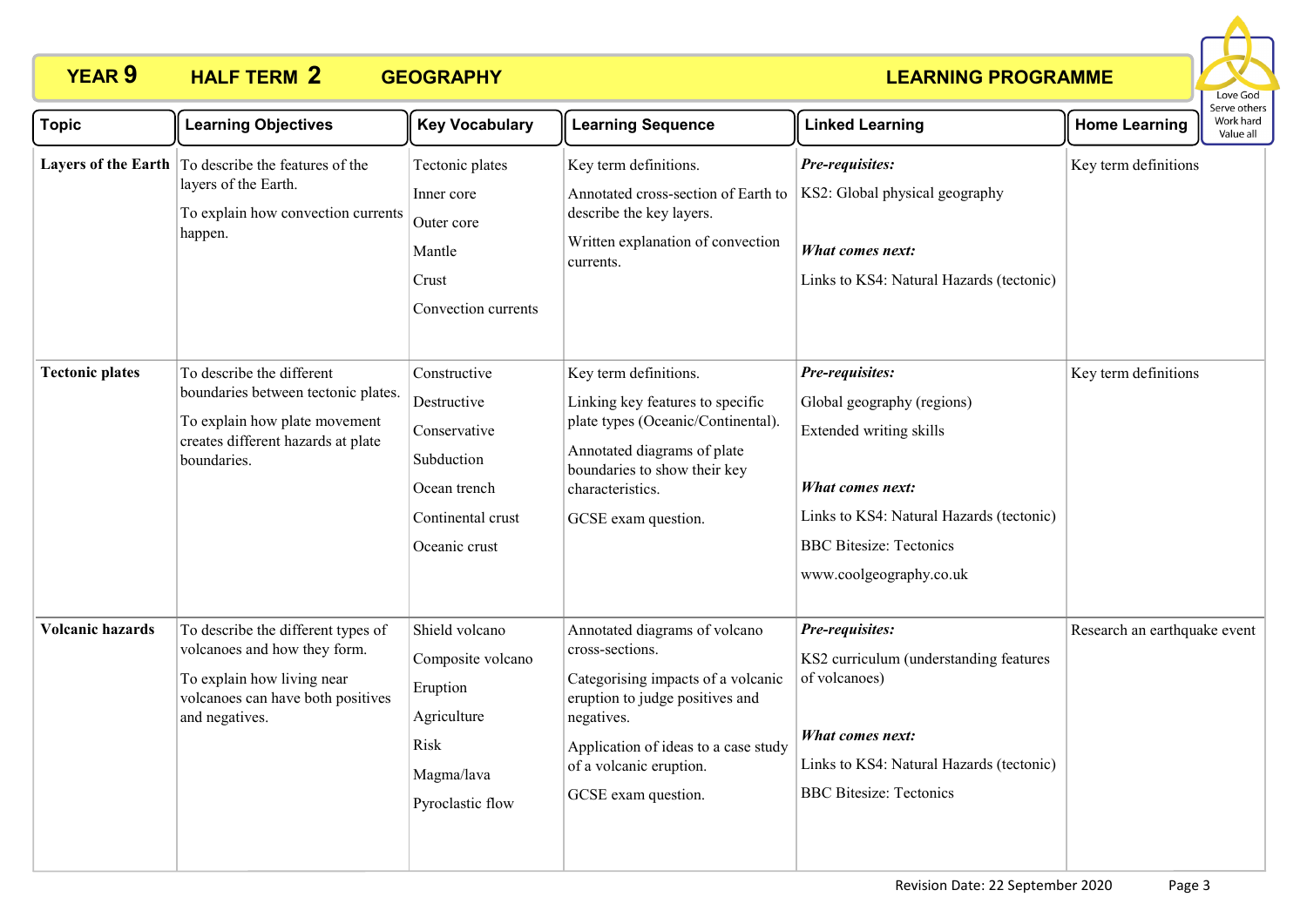

| <b>Topic</b>            | <b>Learning Objectives</b>                                                                                                                              | <b>Key Vocabulary</b>                                                                                           | <b>Learning Sequence</b>                                                                                                                                                                                                          | <b>Linked Learning</b>                                                                                                                                                                                | <b>Home Learning</b>         | Serve others<br>Work hard<br>Value all |
|-------------------------|---------------------------------------------------------------------------------------------------------------------------------------------------------|-----------------------------------------------------------------------------------------------------------------|-----------------------------------------------------------------------------------------------------------------------------------------------------------------------------------------------------------------------------------|-------------------------------------------------------------------------------------------------------------------------------------------------------------------------------------------------------|------------------------------|----------------------------------------|
|                         | Layers of the Earth   To describe the features of the<br>layers of the Earth.<br>To explain how convection currents<br>happen.                          | Tectonic plates<br>Inner core<br>Outer core<br>Mantle<br>Crust<br>Convection currents                           | Key term definitions.<br>Annotated cross-section of Earth to<br>describe the key layers.<br>Written explanation of convection<br>currents.                                                                                        | Pre-requisites:<br>KS2: Global physical geography<br>What comes next:<br>Links to KS4: Natural Hazards (tectonic)                                                                                     | Key term definitions         |                                        |
| <b>Tectonic plates</b>  | To describe the different<br>boundaries between tectonic plates.<br>To explain how plate movement<br>creates different hazards at plate<br>boundaries.  | Constructive<br>Destructive<br>Conservative<br>Subduction<br>Ocean trench<br>Continental crust<br>Oceanic crust | Key term definitions.<br>Linking key features to specific<br>plate types (Oceanic/Continental).<br>Annotated diagrams of plate<br>boundaries to show their key<br>characteristics.<br>GCSE exam question.                         | Pre-requisites:<br>Global geography (regions)<br>Extended writing skills<br>What comes next:<br>Links to KS4: Natural Hazards (tectonic)<br><b>BBC</b> Bitesize: Tectonics<br>www.coolgeography.co.uk | Key term definitions         |                                        |
| <b>Volcanic hazards</b> | To describe the different types of<br>volcanoes and how they form.<br>To explain how living near<br>volcanoes can have both positives<br>and negatives. | Shield volcano<br>Composite volcano<br>Eruption<br>Agriculture<br>Risk<br>Magma/lava<br>Pyroclastic flow        | Annotated diagrams of volcano<br>cross-sections.<br>Categorising impacts of a volcanic<br>eruption to judge positives and<br>negatives.<br>Application of ideas to a case study<br>of a volcanic eruption.<br>GCSE exam question. | Pre-requisites:<br>KS2 curriculum (understanding features<br>of volcanoes)<br>What comes next:<br>Links to KS4: Natural Hazards (tectonic)<br><b>BBC</b> Bitesize: Tectonics                          | Research an earthquake event |                                        |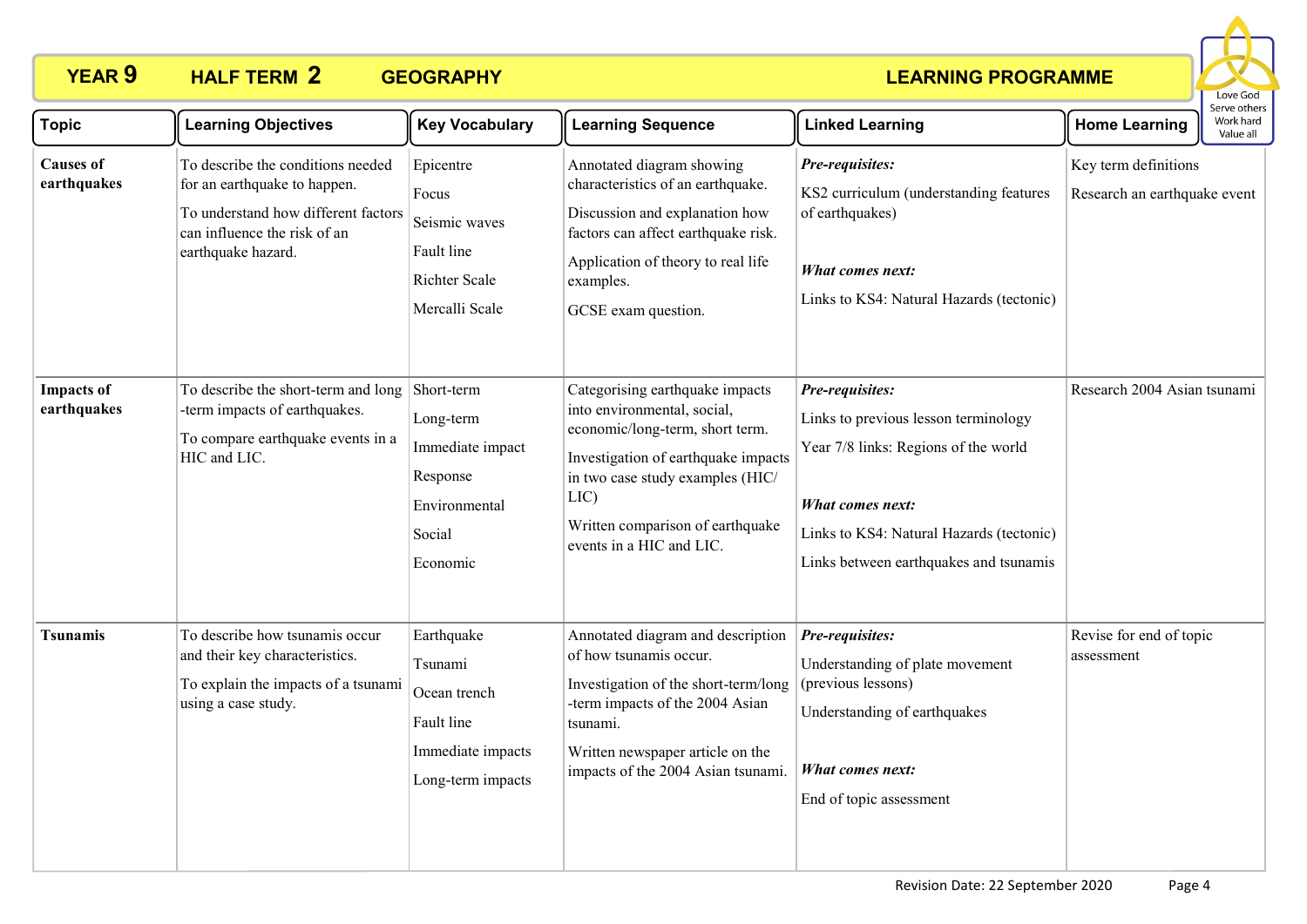

| <b>Topic</b>                     | <b>Learning Objectives</b>                                                                                                                                     | <b>Key Vocabulary</b>                                                                          | <b>Learning Sequence</b>                                                                                                                                                                                                                             | <b>Linked Learning</b>                                                                                                                                                                                    | <b>Home Learning</b>                                 | Work hard<br>Value all |
|----------------------------------|----------------------------------------------------------------------------------------------------------------------------------------------------------------|------------------------------------------------------------------------------------------------|------------------------------------------------------------------------------------------------------------------------------------------------------------------------------------------------------------------------------------------------------|-----------------------------------------------------------------------------------------------------------------------------------------------------------------------------------------------------------|------------------------------------------------------|------------------------|
| <b>Causes of</b><br>earthquakes  | To describe the conditions needed<br>for an earthquake to happen.<br>To understand how different factors<br>can influence the risk of an<br>earthquake hazard. | Epicentre<br>Focus<br>Seismic waves<br>Fault line<br><b>Richter Scale</b><br>Mercalli Scale    | Annotated diagram showing<br>characteristics of an earthquake.<br>Discussion and explanation how<br>factors can affect earthquake risk.<br>Application of theory to real life<br>examples.<br>GCSE exam question.                                    | Pre-requisites:<br>KS2 curriculum (understanding features<br>of earthquakes)<br><b>What comes next:</b><br>Links to KS4: Natural Hazards (tectonic)                                                       | Key term definitions<br>Research an earthquake event |                        |
| <b>Impacts of</b><br>earthquakes | To describe the short-term and long<br>-term impacts of earthquakes.<br>To compare earthquake events in a<br>HIC and LIC.                                      | Short-term<br>Long-term<br>Immediate impact<br>Response<br>Environmental<br>Social<br>Economic | Categorising earthquake impacts<br>into environmental, social,<br>economic/long-term, short term.<br>Investigation of earthquake impacts<br>in two case study examples (HIC/<br>LIC)<br>Written comparison of earthquake<br>events in a HIC and LIC. | Pre-requisites:<br>Links to previous lesson terminology<br>Year 7/8 links: Regions of the world<br>What comes next:<br>Links to KS4: Natural Hazards (tectonic)<br>Links between earthquakes and tsunamis | Research 2004 Asian tsunami                          |                        |
| <b>Tsunamis</b>                  | To describe how tsunamis occur<br>and their key characteristics.<br>To explain the impacts of a tsunami<br>using a case study.                                 | Earthquake<br>Tsunami<br>Ocean trench<br>Fault line<br>Immediate impacts<br>Long-term impacts  | Annotated diagram and description<br>of how tsunamis occur.<br>Investigation of the short-term/long<br>-term impacts of the 2004 Asian<br>tsunami.<br>Written newspaper article on the<br>impacts of the 2004 Asian tsunami.                         | Pre-requisites:<br>Understanding of plate movement<br>(previous lessons)<br>Understanding of earthquakes<br>What comes next:<br>End of topic assessment                                                   | Revise for end of topic<br>assessment                |                        |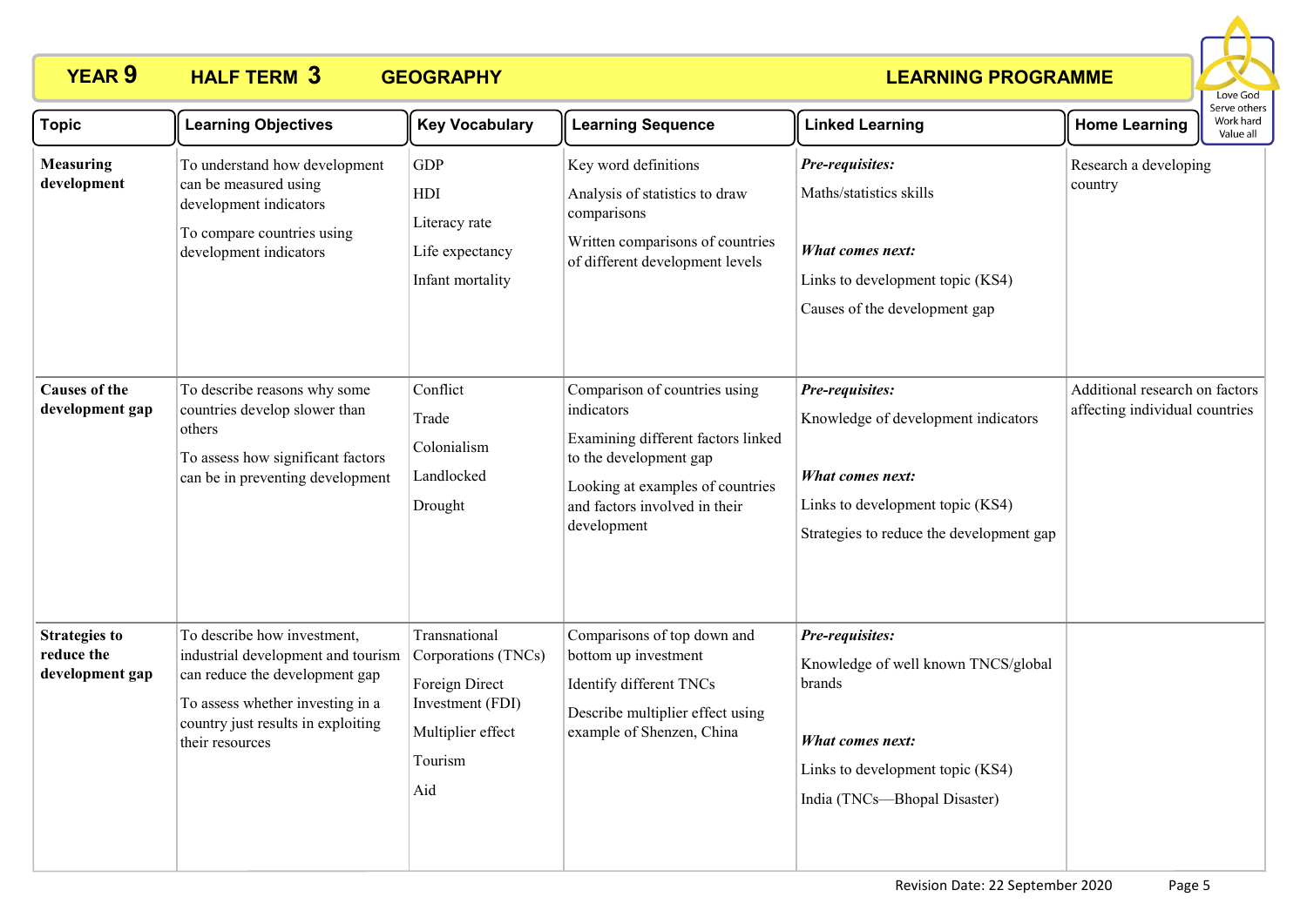

| <b>Topic</b>                                          | <b>Learning Objectives</b>                                                                                                                                                                       | <b>Key Vocabulary</b>                                                                                             | <b>Learning Sequence</b>                                                                                                                                                                        | <b>Linked Learning</b>                                                                                                                                     | <b>Home Learning</b>                                             | serve others<br>Work hard<br>Value all |
|-------------------------------------------------------|--------------------------------------------------------------------------------------------------------------------------------------------------------------------------------------------------|-------------------------------------------------------------------------------------------------------------------|-------------------------------------------------------------------------------------------------------------------------------------------------------------------------------------------------|------------------------------------------------------------------------------------------------------------------------------------------------------------|------------------------------------------------------------------|----------------------------------------|
| <b>Measuring</b><br>development                       | To understand how development<br>can be measured using<br>development indicators<br>To compare countries using<br>development indicators                                                         | <b>GDP</b><br>HDI<br>Literacy rate<br>Life expectancy<br>Infant mortality                                         | Key word definitions<br>Analysis of statistics to draw<br>comparisons<br>Written comparisons of countries<br>of different development levels                                                    | Pre-requisites:<br>Maths/statistics skills<br><b>What comes next:</b><br>Links to development topic (KS4)<br>Causes of the development gap                 | Research a developing<br>country                                 |                                        |
| <b>Causes of the</b><br>development gap               | To describe reasons why some<br>countries develop slower than<br>others<br>To assess how significant factors<br>can be in preventing development                                                 | Conflict<br>Trade<br>Colonialism<br>Landlocked<br>Drought                                                         | Comparison of countries using<br>indicators<br>Examining different factors linked<br>to the development gap<br>Looking at examples of countries<br>and factors involved in their<br>development | Pre-requisites:<br>Knowledge of development indicators<br>What comes next:<br>Links to development topic (KS4)<br>Strategies to reduce the development gap | Additional research on factors<br>affecting individual countries |                                        |
| <b>Strategies to</b><br>reduce the<br>development gap | To describe how investment,<br>industrial development and tourism<br>can reduce the development gap<br>To assess whether investing in a<br>country just results in exploiting<br>their resources | Transnational<br>Corporations (TNCs)<br>Foreign Direct<br>Investment (FDI)<br>Multiplier effect<br>Tourism<br>Aid | Comparisons of top down and<br>bottom up investment<br>Identify different TNCs<br>Describe multiplier effect using<br>example of Shenzen, China                                                 | Pre-requisites:<br>Knowledge of well known TNCS/global<br>brands<br>What comes next:<br>Links to development topic (KS4)<br>India (TNCs-Bhopal Disaster)   |                                                                  |                                        |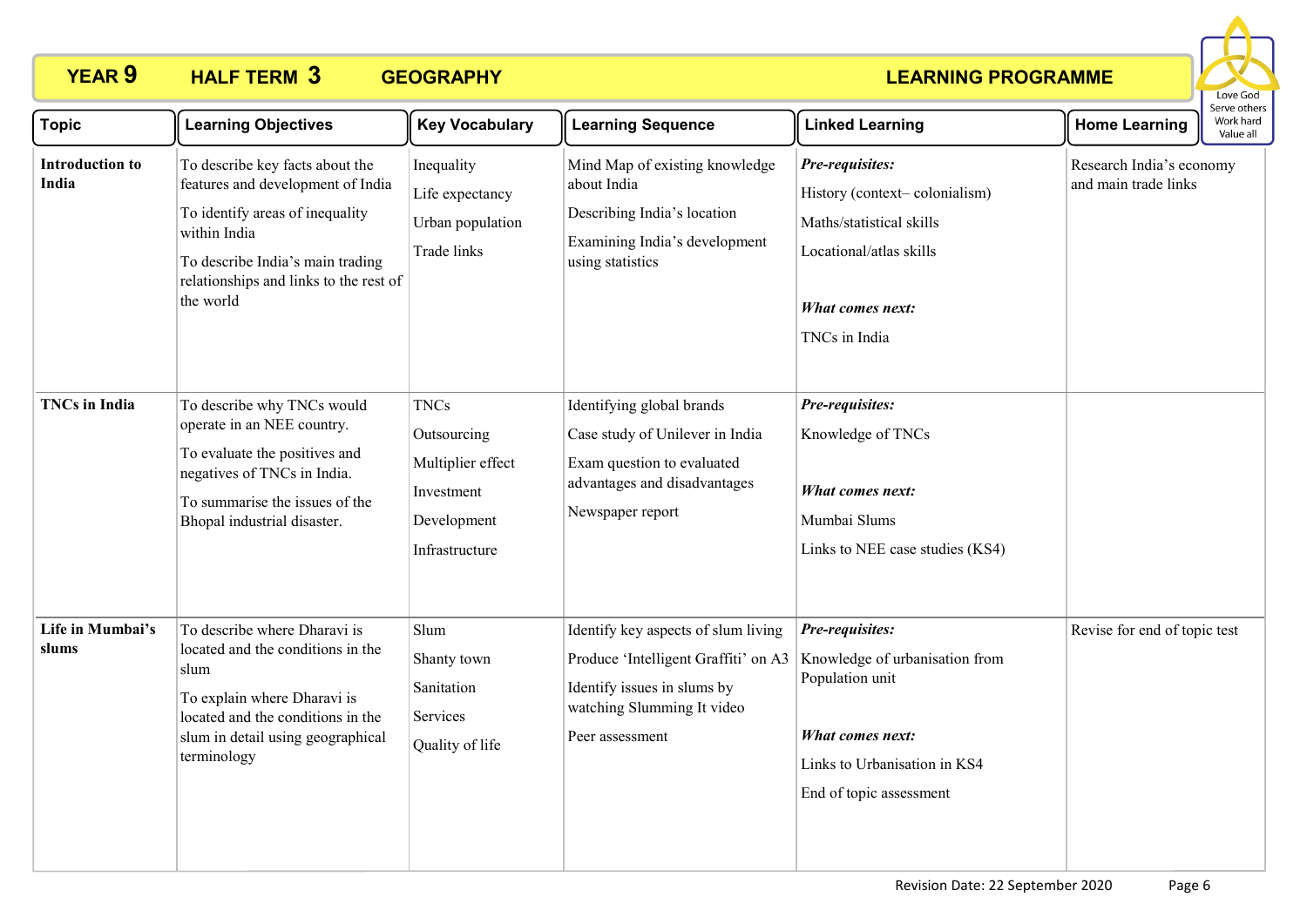

| <b>Topic</b>                    | <b>Learning Objectives</b>                                                                                                                                                                                         | <b>Key Vocabulary</b>                                                                          | <b>Learning Sequence</b>                                                                                                                                    | <b>Linked Learning</b>                                                                                                                                     | <b>Home Learning</b>                             | Serve others<br>Work hard<br>Value all |
|---------------------------------|--------------------------------------------------------------------------------------------------------------------------------------------------------------------------------------------------------------------|------------------------------------------------------------------------------------------------|-------------------------------------------------------------------------------------------------------------------------------------------------------------|------------------------------------------------------------------------------------------------------------------------------------------------------------|--------------------------------------------------|----------------------------------------|
| <b>Introduction to</b><br>India | To describe key facts about the<br>features and development of India<br>To identify areas of inequality<br>within India<br>To describe India's main trading<br>relationships and links to the rest of<br>the world | Inequality<br>Life expectancy<br>Urban population<br>Trade links                               | Mind Map of existing knowledge<br>about India<br>Describing India's location<br>Examining India's development<br>using statistics                           | Pre-requisites:<br>History (context-colonialism)<br>Maths/statistical skills<br>Locational/atlas skills<br>What comes next:<br>TNCs in India               | Research India's economy<br>and main trade links |                                        |
| <b>TNCs</b> in India            | To describe why TNCs would<br>operate in an NEE country.<br>To evaluate the positives and<br>negatives of TNCs in India.<br>To summarise the issues of the<br>Bhopal industrial disaster.                          | <b>TNCs</b><br>Outsourcing<br>Multiplier effect<br>Investment<br>Development<br>Infrastructure | Identifying global brands<br>Case study of Unilever in India<br>Exam question to evaluated<br>advantages and disadvantages<br>Newspaper report              | Pre-requisites:<br>Knowledge of TNCs<br><b>What comes next:</b><br>Mumbai Slums<br>Links to NEE case studies (KS4)                                         |                                                  |                                        |
| Life in Mumbai's<br>slums       | To describe where Dharavi is<br>located and the conditions in the<br>slum<br>To explain where Dharavi is<br>located and the conditions in the<br>slum in detail using geographical<br>terminology                  | Slum<br>Shanty town<br>Sanitation<br>Services<br>Quality of life                               | Identify key aspects of slum living<br>Produce 'Intelligent Graffiti' on A3<br>Identify issues in slums by<br>watching Slumming It video<br>Peer assessment | Pre-requisites:<br>Knowledge of urbanisation from<br>Population unit<br><b>What comes next:</b><br>Links to Urbanisation in KS4<br>End of topic assessment | Revise for end of topic test                     |                                        |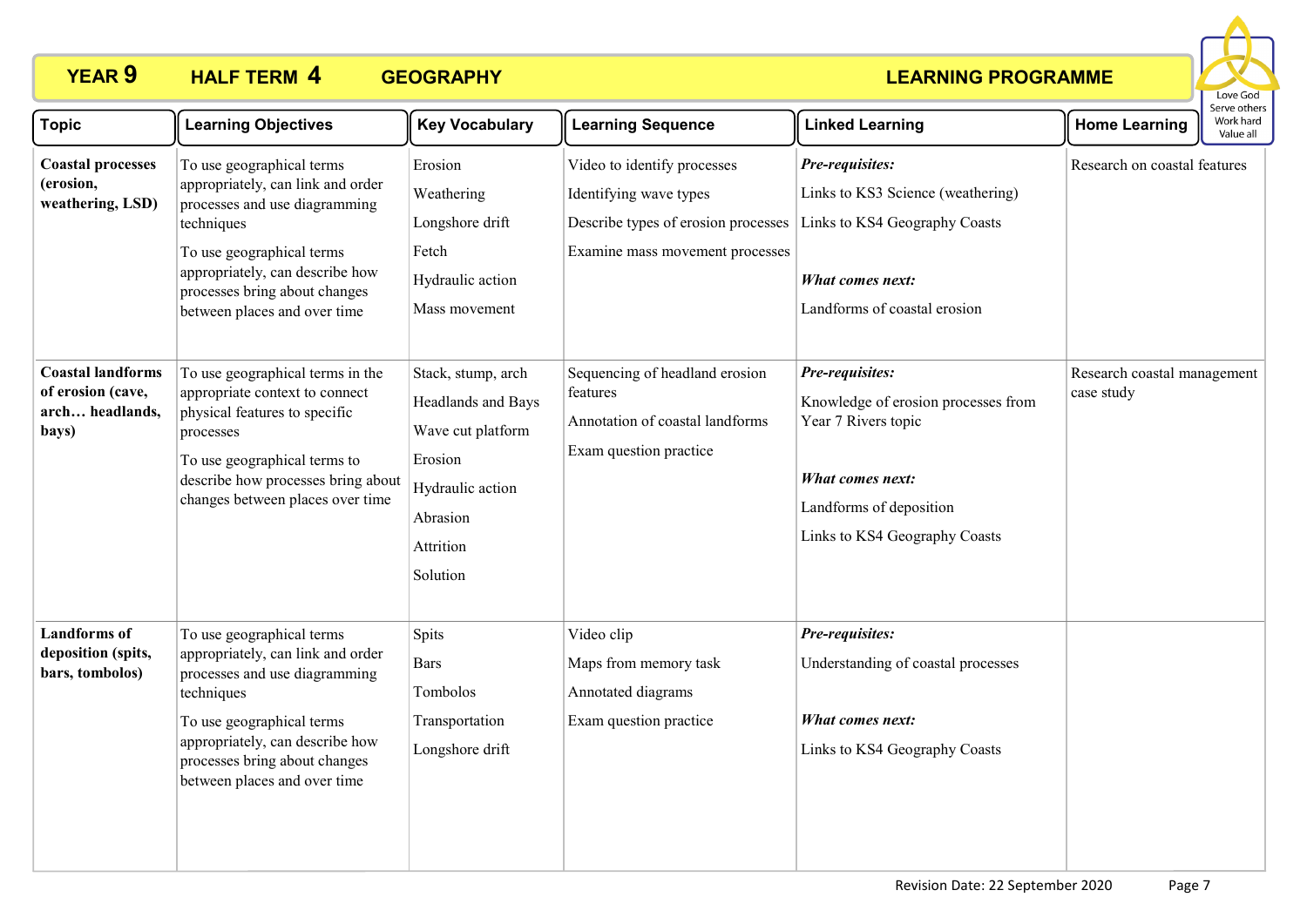

| <b>Topic</b>                                                              | <b>Learning Objectives</b>                                                                                                                                                                                                                     | <b>Key Vocabulary</b>                                                                                                             | <b>Learning Sequence</b>                                                                                                        | <b>Linked Learning</b>                                                                                                                                        | <b>Home Learning</b>                      | Serve others<br>Work hard<br>Value all |
|---------------------------------------------------------------------------|------------------------------------------------------------------------------------------------------------------------------------------------------------------------------------------------------------------------------------------------|-----------------------------------------------------------------------------------------------------------------------------------|---------------------------------------------------------------------------------------------------------------------------------|---------------------------------------------------------------------------------------------------------------------------------------------------------------|-------------------------------------------|----------------------------------------|
| <b>Coastal processes</b><br>(erosion,<br>weathering, LSD)                 | To use geographical terms<br>appropriately, can link and order<br>processes and use diagramming<br>techniques<br>To use geographical terms<br>appropriately, can describe how<br>processes bring about changes<br>between places and over time | Erosion<br>Weathering<br>Longshore drift<br>Fetch<br>Hydraulic action<br>Mass movement                                            | Video to identify processes<br>Identifying wave types<br>Describe types of erosion processes<br>Examine mass movement processes | Pre-requisites:<br>Links to KS3 Science (weathering)<br>Links to KS4 Geography Coasts<br>What comes next:<br>Landforms of coastal erosion                     | Research on coastal features              |                                        |
| <b>Coastal landforms</b><br>of erosion (cave,<br>arch headlands,<br>bays) | To use geographical terms in the<br>appropriate context to connect<br>physical features to specific<br>processes<br>To use geographical terms to<br>describe how processes bring about<br>changes between places over time                     | Stack, stump, arch<br>Headlands and Bays<br>Wave cut platform<br>Erosion<br>Hydraulic action<br>Abrasion<br>Attrition<br>Solution | Sequencing of headland erosion<br>features<br>Annotation of coastal landforms<br>Exam question practice                         | Pre-requisites:<br>Knowledge of erosion processes from<br>Year 7 Rivers topic<br>What comes next:<br>Landforms of deposition<br>Links to KS4 Geography Coasts | Research coastal management<br>case study |                                        |
| <b>Landforms</b> of<br>deposition (spits,<br>bars, tombolos)              | To use geographical terms<br>appropriately, can link and order<br>processes and use diagramming<br>techniques<br>To use geographical terms<br>appropriately, can describe how<br>processes bring about changes<br>between places and over time | Spits<br><b>Bars</b><br>Tombolos<br>Transportation<br>Longshore drift                                                             | Video clip<br>Maps from memory task<br>Annotated diagrams<br>Exam question practice                                             | Pre-requisites:<br>Understanding of coastal processes<br>What comes next:<br>Links to KS4 Geography Coasts                                                    |                                           |                                        |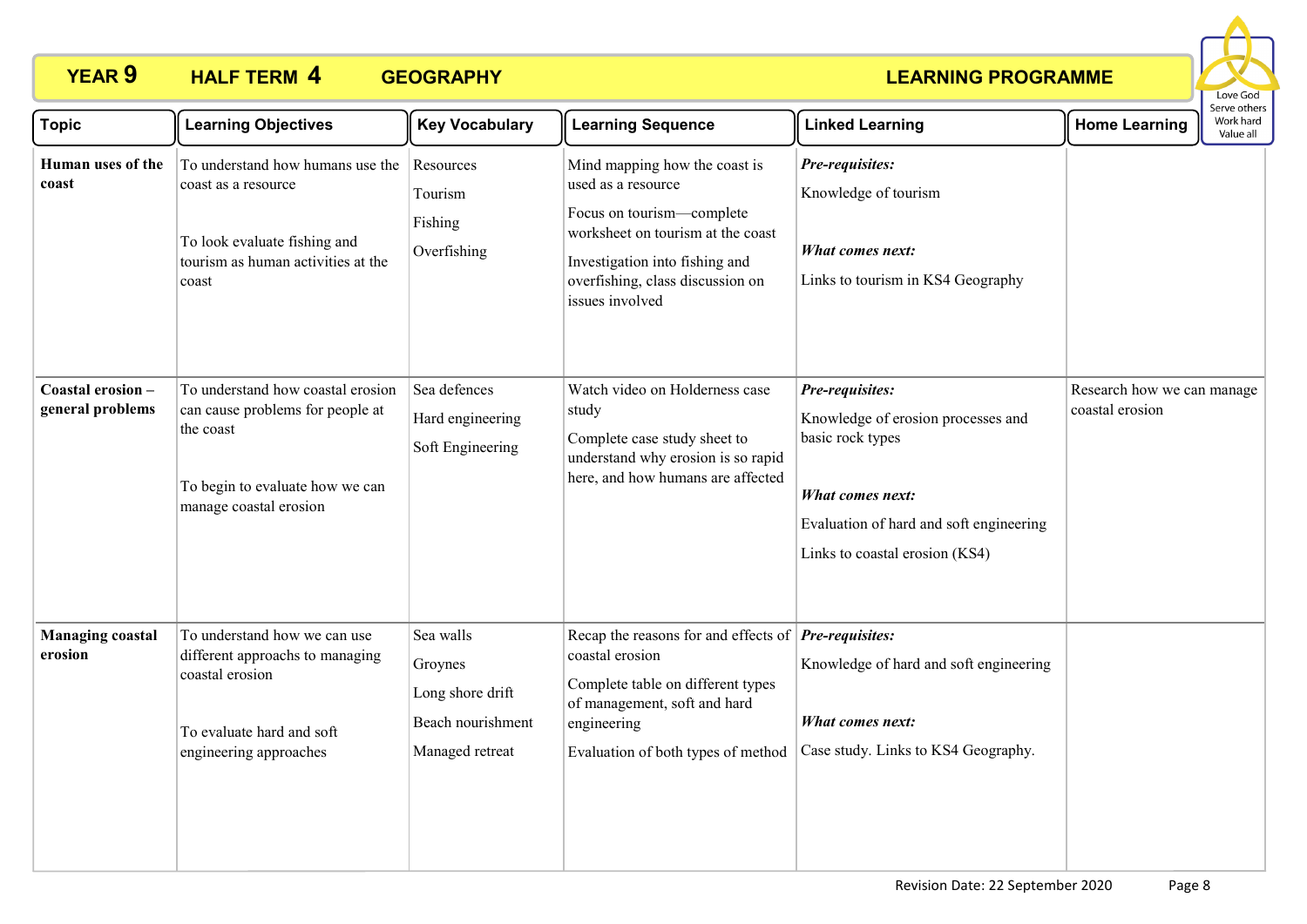

| <b>Topic</b>                          | <b>Learning Objectives</b>                                                                                                                      | <b>Key Vocabulary</b>                                                            | <b>Learning Sequence</b>                                                                                                                                                                                                | <b>Linked Learning</b>                                                                                                                                                     | <b>Home Learning</b>                          | Serve others<br>Work hard<br>Value all |
|---------------------------------------|-------------------------------------------------------------------------------------------------------------------------------------------------|----------------------------------------------------------------------------------|-------------------------------------------------------------------------------------------------------------------------------------------------------------------------------------------------------------------------|----------------------------------------------------------------------------------------------------------------------------------------------------------------------------|-----------------------------------------------|----------------------------------------|
| Human uses of the<br>coast            | To understand how humans use the<br>coast as a resource<br>To look evaluate fishing and<br>tourism as human activities at the<br>coast          | Resources<br>Tourism<br>Fishing<br>Overfishing                                   | Mind mapping how the coast is<br>used as a resource<br>Focus on tourism-complete<br>worksheet on tourism at the coast<br>Investigation into fishing and<br>overfishing, class discussion on<br>issues involved          | Pre-requisites:<br>Knowledge of tourism<br>What comes next:<br>Links to tourism in KS4 Geography                                                                           |                                               |                                        |
| Coastal erosion -<br>general problems | To understand how coastal erosion<br>can cause problems for people at<br>the coast<br>To begin to evaluate how we can<br>manage coastal erosion | Sea defences<br>Hard engineering<br>Soft Engineering                             | Watch video on Holderness case<br>study<br>Complete case study sheet to<br>understand why erosion is so rapid<br>here, and how humans are affected                                                                      | Pre-requisites:<br>Knowledge of erosion processes and<br>basic rock types<br>What comes next:<br>Evaluation of hard and soft engineering<br>Links to coastal erosion (KS4) | Research how we can manage<br>coastal erosion |                                        |
| <b>Managing coastal</b><br>erosion    | To understand how we can use<br>different approachs to managing<br>coastal erosion<br>To evaluate hard and soft<br>engineering approaches       | Sea walls<br>Groynes<br>Long shore drift<br>Beach nourishment<br>Managed retreat | Recap the reasons for and effects of $\left  Pre\text{-}requires: \right $<br>coastal erosion<br>Complete table on different types<br>of management, soft and hard<br>engineering<br>Evaluation of both types of method | Knowledge of hard and soft engineering<br>What comes next:<br>Case study. Links to KS4 Geography.                                                                          |                                               |                                        |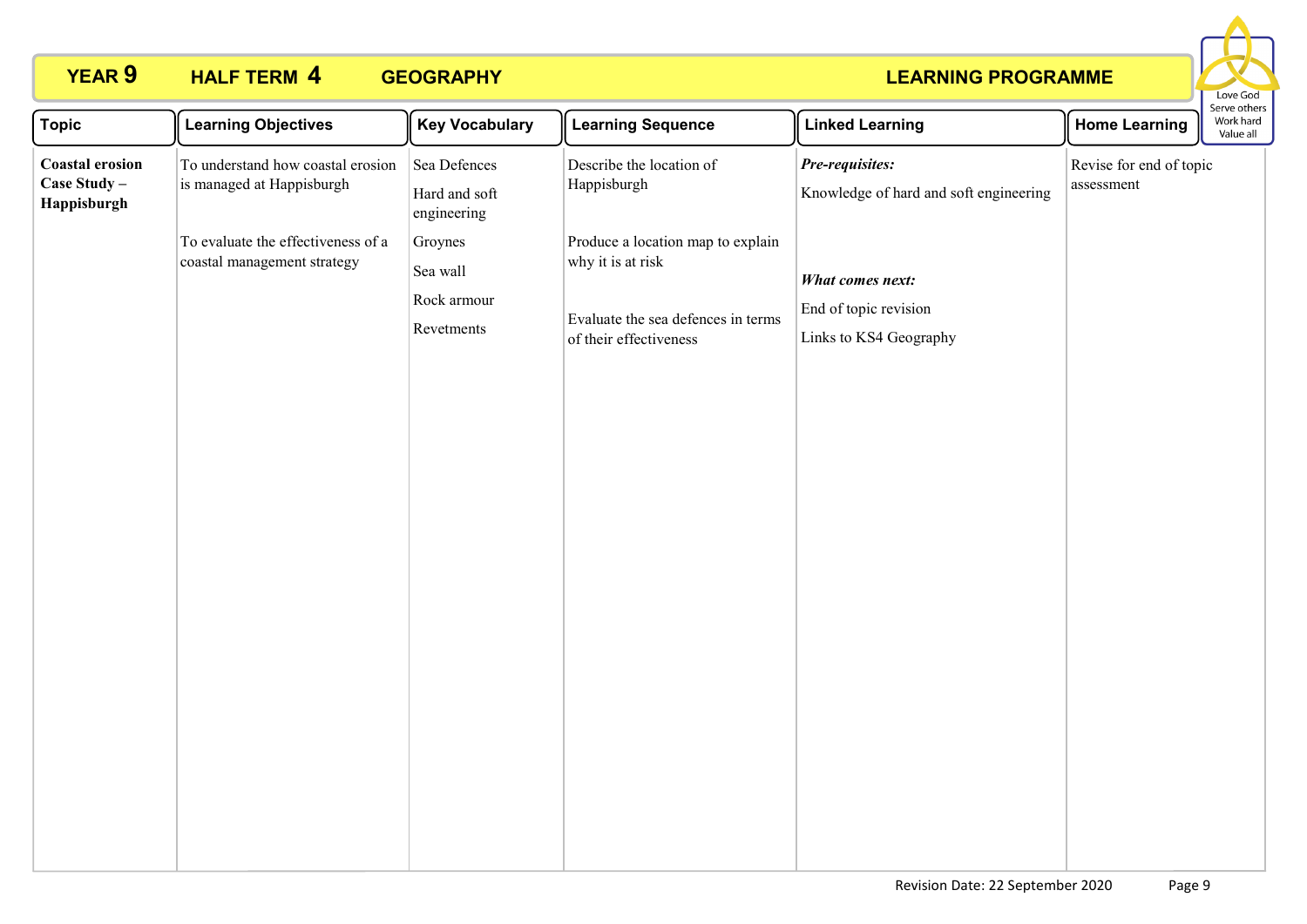

| <b>Topic</b>                                          | <b>Learning Objectives</b>                                        | <b>Key Vocabulary</b>                            | <b>Learning Sequence</b>                                                                                               | <b>Linked Learning</b>                                                     | <b>Home Learning</b>                  | serve other<br>Work hard<br>Value all |
|-------------------------------------------------------|-------------------------------------------------------------------|--------------------------------------------------|------------------------------------------------------------------------------------------------------------------------|----------------------------------------------------------------------------|---------------------------------------|---------------------------------------|
| <b>Coastal erosion</b><br>Case Study -<br>Happisburgh | To understand how coastal erosion<br>is managed at Happisburgh    | Sea Defences<br>Hard and soft<br>engineering     | Describe the location of<br>Happisburgh                                                                                | Pre-requisites:<br>Knowledge of hard and soft engineering                  | Revise for end of topic<br>assessment |                                       |
|                                                       | To evaluate the effectiveness of a<br>coastal management strategy | Groynes<br>Sea wall<br>Rock armour<br>Revetments | Produce a location map to explain<br>why it is at risk<br>Evaluate the sea defences in terms<br>of their effectiveness | <b>What comes next:</b><br>End of topic revision<br>Links to KS4 Geography |                                       |                                       |
|                                                       |                                                                   |                                                  |                                                                                                                        |                                                                            |                                       |                                       |
|                                                       |                                                                   |                                                  |                                                                                                                        |                                                                            |                                       |                                       |
|                                                       |                                                                   |                                                  |                                                                                                                        |                                                                            |                                       |                                       |
|                                                       |                                                                   |                                                  |                                                                                                                        |                                                                            |                                       |                                       |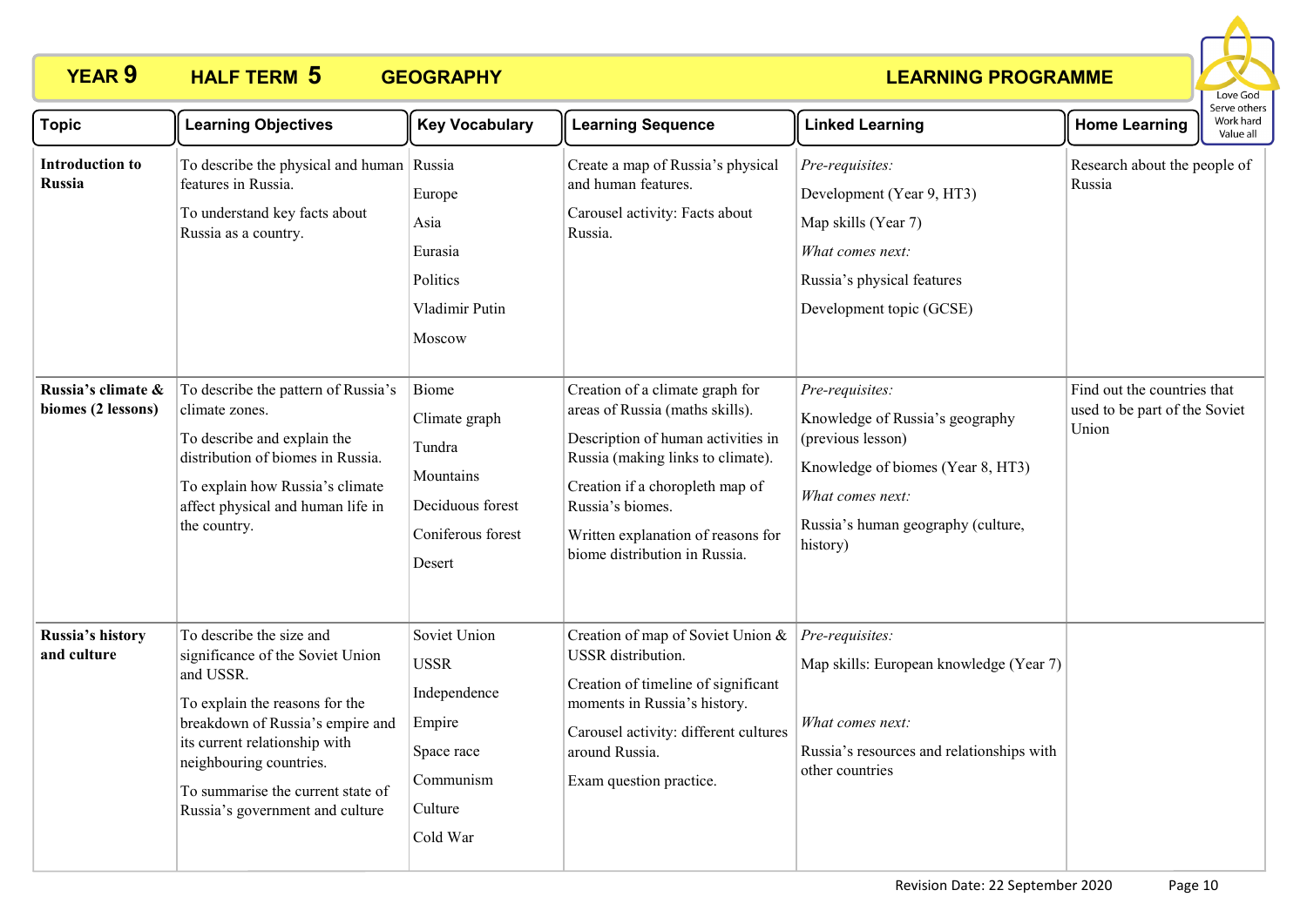

| <b>Topic</b>                             | <b>Learning Objectives</b>                                                                                                                                                                                                                                                          | <b>Key Vocabulary</b>                                                                                   | <b>Learning Sequence</b>                                                                                                                                                                                                                                                    | <b>Linked Learning</b>                                                                                                                                                             | <b>Home Learning</b>                                                  | וסטו אב היוונ<br>Work hard<br>Value all |
|------------------------------------------|-------------------------------------------------------------------------------------------------------------------------------------------------------------------------------------------------------------------------------------------------------------------------------------|---------------------------------------------------------------------------------------------------------|-----------------------------------------------------------------------------------------------------------------------------------------------------------------------------------------------------------------------------------------------------------------------------|------------------------------------------------------------------------------------------------------------------------------------------------------------------------------------|-----------------------------------------------------------------------|-----------------------------------------|
| <b>Introduction to</b><br><b>Russia</b>  | To describe the physical and human Russia<br>features in Russia.<br>To understand key facts about<br>Russia as a country.                                                                                                                                                           | Europe<br>Asia<br>Eurasia<br>Politics<br>Vladimir Putin<br>Moscow                                       | Create a map of Russia's physical<br>and human features.<br>Carousel activity: Facts about<br>Russia.                                                                                                                                                                       | Pre-requisites:<br>Development (Year 9, HT3)<br>Map skills (Year 7)<br>What comes next:<br>Russia's physical features<br>Development topic (GCSE)                                  | Research about the people of<br>Russia                                |                                         |
| Russia's climate &<br>biomes (2 lessons) | To describe the pattern of Russia's<br>climate zones.<br>To describe and explain the<br>distribution of biomes in Russia.<br>To explain how Russia's climate<br>affect physical and human life in<br>the country.                                                                   | Biome<br>Climate graph<br>Tundra<br>Mountains<br>Deciduous forest<br>Coniferous forest<br>Desert        | Creation of a climate graph for<br>areas of Russia (maths skills).<br>Description of human activities in<br>Russia (making links to climate).<br>Creation if a choropleth map of<br>Russia's biomes.<br>Written explanation of reasons for<br>biome distribution in Russia. | Pre-requisites:<br>Knowledge of Russia's geography<br>(previous lesson)<br>Knowledge of biomes (Year 8, HT3)<br>What comes next:<br>Russia's human geography (culture,<br>history) | Find out the countries that<br>used to be part of the Soviet<br>Union |                                         |
| Russia's history<br>and culture          | To describe the size and<br>significance of the Soviet Union<br>and USSR.<br>To explain the reasons for the<br>breakdown of Russia's empire and<br>its current relationship with<br>neighbouring countries.<br>To summarise the current state of<br>Russia's government and culture | Soviet Union<br><b>USSR</b><br>Independence<br>Empire<br>Space race<br>Communism<br>Culture<br>Cold War | Creation of map of Soviet Union &<br>USSR distribution.<br>Creation of timeline of significant<br>moments in Russia's history.<br>Carousel activity: different cultures<br>around Russia.<br>Exam question practice.                                                        | Pre-requisites:<br>Map skills: European knowledge (Year 7)<br>What comes next:<br>Russia's resources and relationships with<br>other countries                                     |                                                                       |                                         |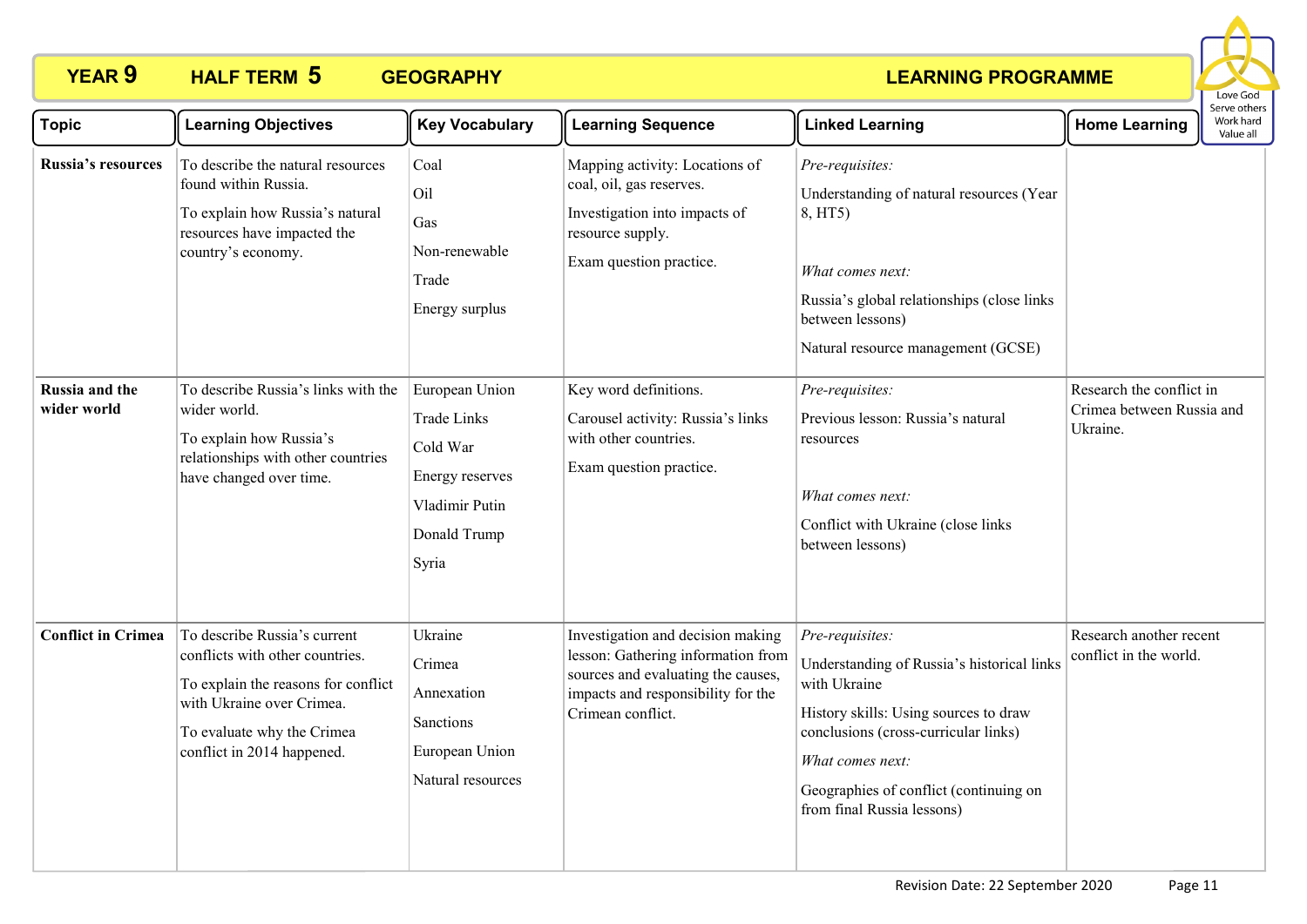

| <b>Topic</b>                  | <b>Learning Objectives</b>                                                                                                                                                                      | <b>Key Vocabulary</b>                                                                                          | <b>Learning Sequence</b>                                                                                                                                                 | <b>Linked Learning</b>                                                                                                                                                                                                                                     | <b>Home Learning</b>                                              | Serve others<br>Work hard<br>Value all |
|-------------------------------|-------------------------------------------------------------------------------------------------------------------------------------------------------------------------------------------------|----------------------------------------------------------------------------------------------------------------|--------------------------------------------------------------------------------------------------------------------------------------------------------------------------|------------------------------------------------------------------------------------------------------------------------------------------------------------------------------------------------------------------------------------------------------------|-------------------------------------------------------------------|----------------------------------------|
| Russia's resources            | To describe the natural resources<br>found within Russia.<br>To explain how Russia's natural<br>resources have impacted the<br>country's economy.                                               | Coal<br>Oil<br>Gas<br>Non-renewable<br>Trade<br>Energy surplus                                                 | Mapping activity: Locations of<br>coal, oil, gas reserves.<br>Investigation into impacts of<br>resource supply.<br>Exam question practice.                               | Pre-requisites:<br>Understanding of natural resources (Year<br>8, HT5)<br>What comes next:<br>Russia's global relationships (close links<br>between lessons)<br>Natural resource management (GCSE)                                                         |                                                                   |                                        |
| Russia and the<br>wider world | To describe Russia's links with the<br>wider world.<br>To explain how Russia's<br>relationships with other countries<br>have changed over time.                                                 | European Union<br><b>Trade Links</b><br>Cold War<br>Energy reserves<br>Vladimir Putin<br>Donald Trump<br>Syria | Key word definitions.<br>Carousel activity: Russia's links<br>with other countries.<br>Exam question practice.                                                           | Pre-requisites:<br>Previous lesson: Russia's natural<br>resources<br>What comes next:<br>Conflict with Ukraine (close links<br>between lessons)                                                                                                            | Research the conflict in<br>Crimea between Russia and<br>Ukraine. |                                        |
| <b>Conflict in Crimea</b>     | To describe Russia's current<br>conflicts with other countries.<br>To explain the reasons for conflict<br>with Ukraine over Crimea.<br>To evaluate why the Crimea<br>conflict in 2014 happened. | Ukraine<br>Crimea<br>Annexation<br>Sanctions<br>European Union<br>Natural resources                            | Investigation and decision making<br>lesson: Gathering information from<br>sources and evaluating the causes,<br>impacts and responsibility for the<br>Crimean conflict. | Pre-requisites:<br>Understanding of Russia's historical links<br>with Ukraine<br>History skills: Using sources to draw<br>conclusions (cross-curricular links)<br>What comes next:<br>Geographies of conflict (continuing on<br>from final Russia lessons) | Research another recent<br>conflict in the world.                 |                                        |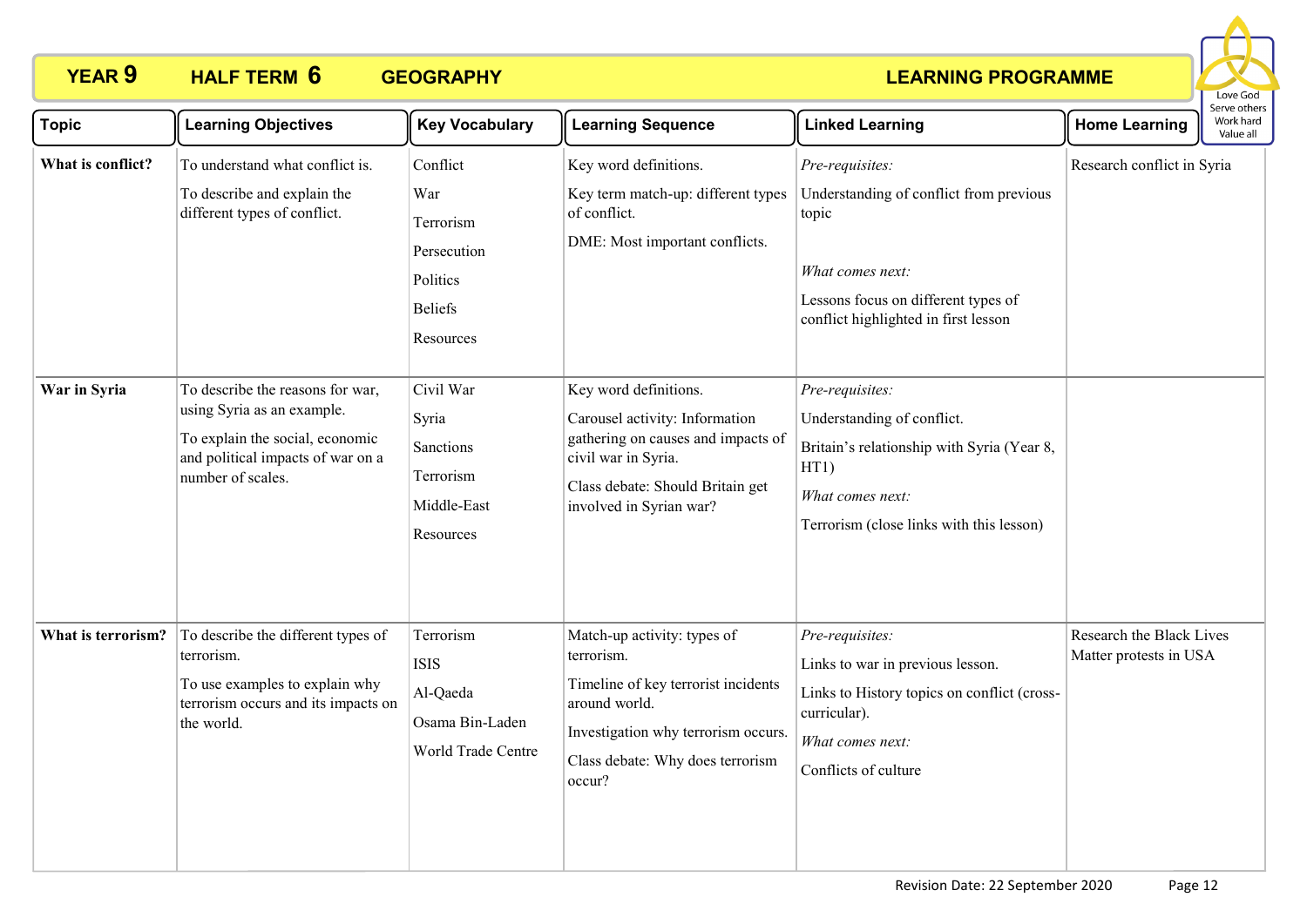

| <b>Topic</b>       | <b>Learning Objectives</b>                                                                                                                                  | <b>Key Vocabulary</b>                                                                  | <b>Learning Sequence</b>                                                                                                                                                               | <b>Linked Learning</b>                                                                                                                                                 | <b>Home Learning</b>                               | Serve others<br>Work hard<br>Value all |  |
|--------------------|-------------------------------------------------------------------------------------------------------------------------------------------------------------|----------------------------------------------------------------------------------------|----------------------------------------------------------------------------------------------------------------------------------------------------------------------------------------|------------------------------------------------------------------------------------------------------------------------------------------------------------------------|----------------------------------------------------|----------------------------------------|--|
| What is conflict?  | To understand what conflict is.<br>To describe and explain the<br>different types of conflict.                                                              | Conflict<br>War<br>Terrorism<br>Persecution<br>Politics<br><b>Beliefs</b><br>Resources | Key word definitions.<br>Key term match-up: different types<br>of conflict.<br>DME: Most important conflicts.                                                                          | Pre-requisites:<br>Understanding of conflict from previous<br>topic<br>What comes next:<br>Lessons focus on different types of<br>conflict highlighted in first lesson | Research conflict in Syria                         |                                        |  |
| War in Syria       | To describe the reasons for war,<br>using Syria as an example.<br>To explain the social, economic<br>and political impacts of war on a<br>number of scales. | Civil War<br>Syria<br>Sanctions<br>Terrorism<br>Middle-East<br>Resources               | Key word definitions.<br>Carousel activity: Information<br>gathering on causes and impacts of<br>civil war in Syria.<br>Class debate: Should Britain get<br>involved in Syrian war?    | Pre-requisites:<br>Understanding of conflict.<br>Britain's relationship with Syria (Year 8,<br>HT1)<br>What comes next:<br>Terrorism (close links with this lesson)    |                                                    |                                        |  |
| What is terrorism? | To describe the different types of<br>terrorism.<br>To use examples to explain why<br>terrorism occurs and its impacts on<br>the world.                     | Terrorism<br><b>ISIS</b><br>Al-Qaeda<br>Osama Bin-Laden<br>World Trade Centre          | Match-up activity: types of<br>terrorism.<br>Timeline of key terrorist incidents<br>around world.<br>Investigation why terrorism occurs.<br>Class debate: Why does terrorism<br>occur? | Pre-requisites:<br>Links to war in previous lesson.<br>Links to History topics on conflict (cross-<br>curricular).<br>What comes next:<br>Conflicts of culture         | Research the Black Lives<br>Matter protests in USA |                                        |  |